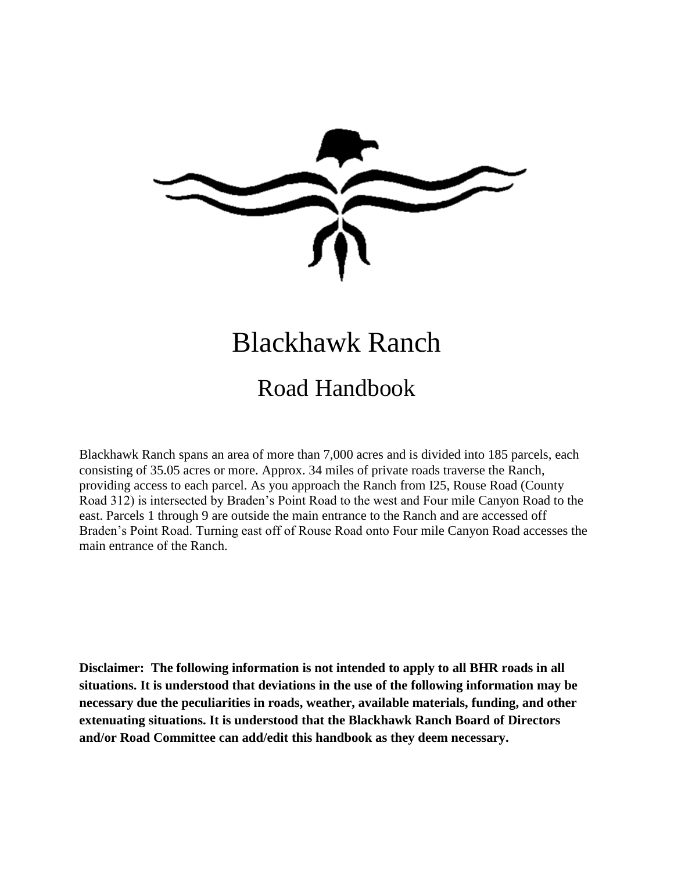

# Blackhawk Ranch

## Road Handbook

Blackhawk Ranch spans an area of more than 7,000 acres and is divided into 185 parcels, each consisting of 35.05 acres or more. Approx. 34 miles of private roads traverse the Ranch, providing access to each parcel. As you approach the Ranch from I25, Rouse Road (County Road 312) is intersected by Braden's Point Road to the west and Four mile Canyon Road to the east. Parcels 1 through 9 are outside the main entrance to the Ranch and are accessed off Braden's Point Road. Turning east off of Rouse Road onto Four mile Canyon Road accesses the main entrance of the Ranch.

**Disclaimer: The following information is not intended to apply to all BHR roads in all situations. It is understood that deviations in the use of the following information may be necessary due the peculiarities in roads, weather, available materials, funding, and other extenuating situations. It is understood that the Blackhawk Ranch Board of Directors and/or Road Committee can add/edit this handbook as they deem necessary.**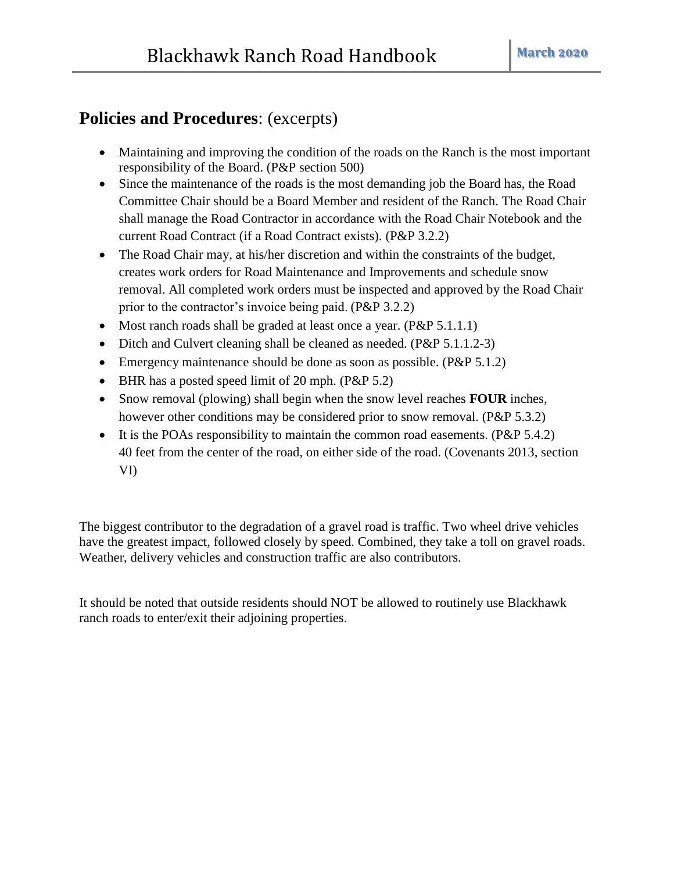## **Policies and Procedures**: (excerpts)

- Maintaining and improving the condition of the roads on the Ranch is the most important responsibility of the Board. (P&P section 500)
- Since the maintenance of the roads is the most demanding job the Board has, the Road Committee Chair should be a Board Member and resident of the Ranch. The Road Chair shall manage the Road Contractor in accordance with the Road Chair Notebook and the current Road Contract (if a Road Contract exists). (P&P 3.2.2)
- The Road Chair may, at his/her discretion and within the constraints of the budget, creates work orders for Road Maintenance and Improvements and schedule snow removal. All completed work orders must be inspected and approved by the Road Chair prior to the contractor's invoice being paid. (P&P 3.2.2)
- Most ranch roads shall be graded at least once a year. (P&P 5.1.1.1)
- Ditch and Culvert cleaning shall be cleaned as needed. (P&P 5.1.1.2-3)
- Emergency maintenance should be done as soon as possible. (P&P 5.1.2)
- BHR has a posted speed limit of 20 mph. (P&P 5.2)
- Snow removal (plowing) shall begin when the snow level reaches **FOUR** inches, however other conditions may be considered prior to snow removal. (P&P 5.3.2)
- It is the POAs responsibility to maintain the common road easements. (P&P  $5.4.2$ ) 40 feet from the center of the road, on either side of the road. (Covenants 2013, section VI)

The biggest contributor to the degradation of a gravel road is traffic. Two wheel drive vehicles have the greatest impact, followed closely by speed. Combined, they take a toll on gravel roads. Weather, delivery vehicles and construction traffic are also contributors.

It should be noted that outside residents should NOT be allowed to routinely use Blackhawk ranch roads to enter/exit their adjoining properties.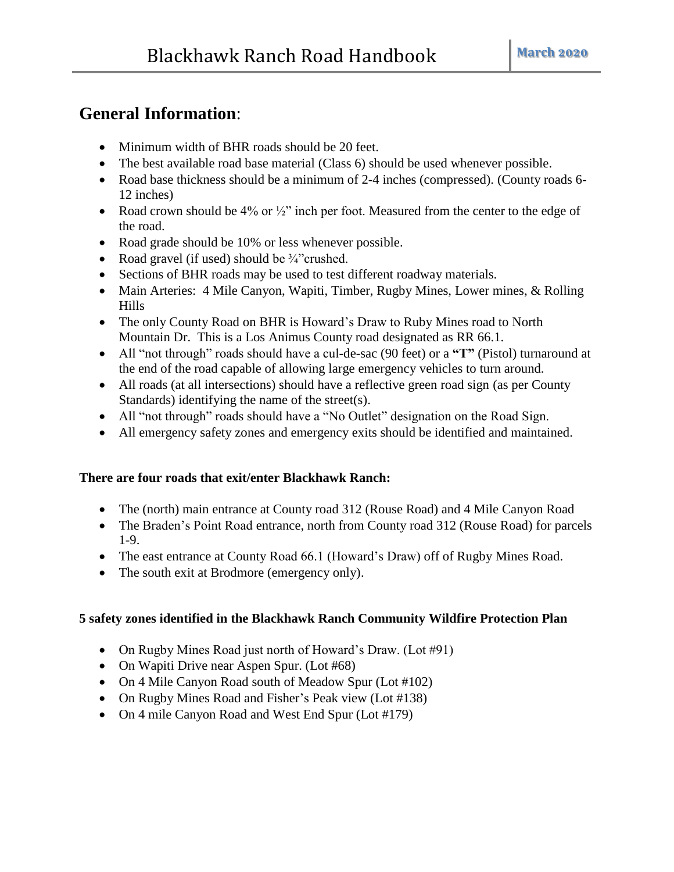## **General Information**:

- Minimum width of BHR roads should be 20 feet.
- The best available road base material (Class 6) should be used whenever possible.
- Road base thickness should be a minimum of 2-4 inches (compressed). (County roads 6-12 inches)
- Road crown should be 4% or  $\frac{1}{2}$  inch per foot. Measured from the center to the edge of the road.
- Road grade should be 10% or less whenever possible.
- Road gravel (if used) should be  $\frac{3}{4}$  crushed.
- Sections of BHR roads may be used to test different roadway materials.
- Main Arteries: 4 Mile Canyon, Wapiti, Timber, Rugby Mines, Lower mines, & Rolling Hills
- The only County Road on BHR is Howard's Draw to Ruby Mines road to North Mountain Dr. This is a Los Animus County road designated as RR 66.1.
- All "not through" roads should have a cul-de-sac (90 feet) or a **"T"** (Pistol) turnaround at the end of the road capable of allowing large emergency vehicles to turn around.
- All roads (at all intersections) should have a reflective green road sign (as per County Standards) identifying the name of the street(s).
- All "not through" roads should have a "No Outlet" designation on the Road Sign.
- All emergency safety zones and emergency exits should be identified and maintained.

#### **There are four roads that exit/enter Blackhawk Ranch:**

- The (north) main entrance at County road 312 (Rouse Road) and 4 Mile Canyon Road
- The Braden's Point Road entrance, north from County road 312 (Rouse Road) for parcels 1-9.
- The east entrance at County Road 66.1 (Howard's Draw) off of Rugby Mines Road.
- The south exit at Brodmore (emergency only).

#### **5 safety zones identified in the Blackhawk Ranch Community Wildfire Protection Plan**

- On Rugby Mines Road just north of Howard's Draw. (Lot #91)
- On Wapiti Drive near Aspen Spur. (Lot #68)
- On 4 Mile Canyon Road south of Meadow Spur (Lot #102)
- On Rugby Mines Road and Fisher's Peak view (Lot #138)
- On 4 mile Canyon Road and West End Spur (Lot #179)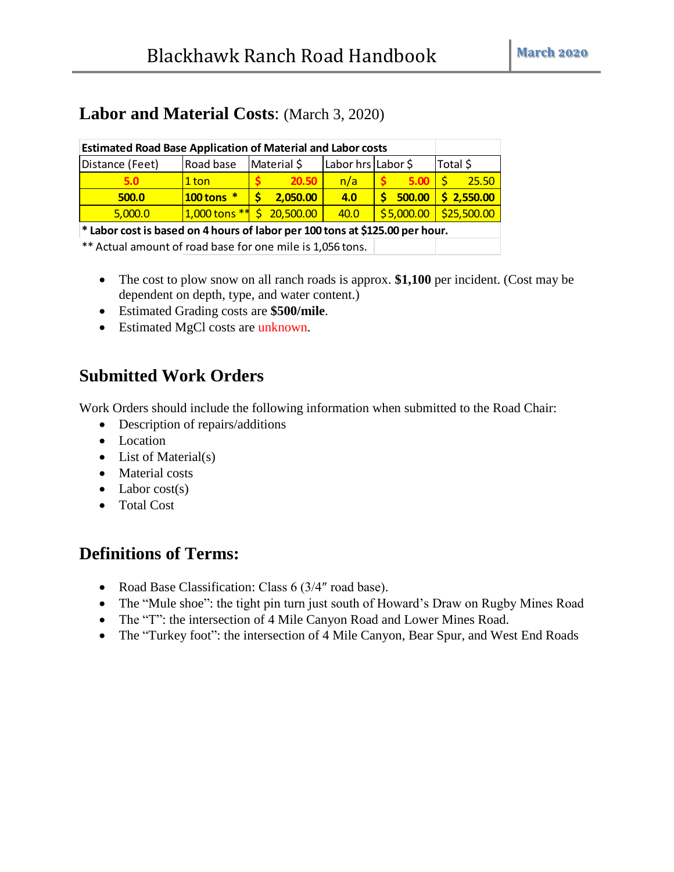## **Labor and Material Costs**: (March 3, 2020)

| <b>Estimated Road Base Application of Material and Labor costs</b>           |                                |  |             |                    |  |            |          |             |
|------------------------------------------------------------------------------|--------------------------------|--|-------------|--------------------|--|------------|----------|-------------|
| Distance (Feet)                                                              | Road base                      |  | Material \$ | Labor hrs Labor \$ |  |            | Total \$ |             |
| 5.0                                                                          | 1 ton                          |  | 20.50       | n/a                |  | 5.00       |          | 25.50       |
| 500.0                                                                        | $100$ tons $*$                 |  | 2,050.00    | 4.0                |  | 500.00     |          | 52,550.00   |
| 5,000.0                                                                      | $1,000$ tons $**$ \$ 20,500.00 |  |             | 40.0               |  | \$5,000.00 |          | \$25,500.00 |
| * Labor cost is based on 4 hours of labor per 100 tons at \$125.00 per hour. |                                |  |             |                    |  |            |          |             |
|                                                                              |                                |  |             |                    |  |            |          |             |

\*\* Actual amount of road base for one mile is 1,056 tons.

- The cost to plow snow on all ranch roads is approx. **\$1,100** per incident. (Cost may be dependent on depth, type, and water content.)
- Estimated Grading costs are **\$500/mile**.
- Estimated MgCl costs are unknown.

### **Submitted Work Orders**

Work Orders should include the following information when submitted to the Road Chair:

- Description of repairs/additions
- Location
- $\bullet$  List of Material(s)
- Material costs
- $\bullet$  Labor cost(s)
- Total Cost

## **Definitions of Terms:**

- Road Base Classification: Class 6 (3/4" road base).
- The "Mule shoe": the tight pin turn just south of Howard's Draw on Rugby Mines Road
- The "T": the intersection of 4 Mile Canyon Road and Lower Mines Road.
- The "Turkey foot": the intersection of 4 Mile Canyon, Bear Spur, and West End Roads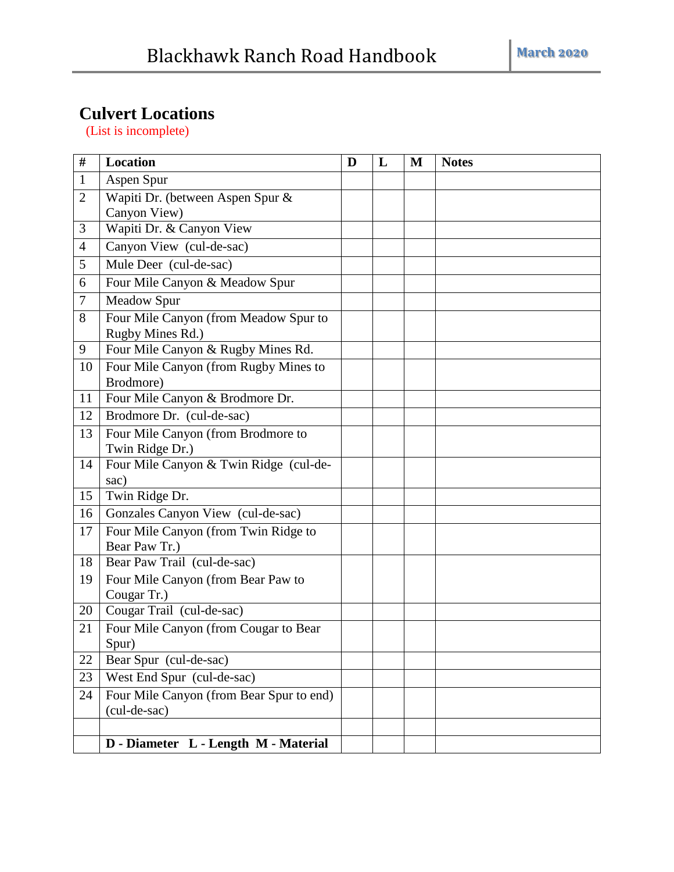## **Culvert Locations**

(List is incomplete)

| #              | <b>Location</b>                                       | D | L | M | <b>Notes</b> |
|----------------|-------------------------------------------------------|---|---|---|--------------|
| $\mathbf{1}$   | Aspen Spur                                            |   |   |   |              |
| $\overline{2}$ | Wapiti Dr. (between Aspen Spur &                      |   |   |   |              |
|                | Canyon View)                                          |   |   |   |              |
| 3              | Wapiti Dr. & Canyon View                              |   |   |   |              |
| 4              | Canyon View (cul-de-sac)                              |   |   |   |              |
| 5              | Mule Deer (cul-de-sac)                                |   |   |   |              |
| 6              | Four Mile Canyon & Meadow Spur                        |   |   |   |              |
| 7              | Meadow Spur                                           |   |   |   |              |
| 8              | Four Mile Canyon (from Meadow Spur to                 |   |   |   |              |
|                | Rugby Mines Rd.)                                      |   |   |   |              |
| 9              | Four Mile Canyon & Rugby Mines Rd.                    |   |   |   |              |
| 10             | Four Mile Canyon (from Rugby Mines to<br>Brodmore)    |   |   |   |              |
| 11             | Four Mile Canyon & Brodmore Dr.                       |   |   |   |              |
| 12             | Brodmore Dr. (cul-de-sac)                             |   |   |   |              |
| 13             | Four Mile Canyon (from Brodmore to                    |   |   |   |              |
|                | Twin Ridge Dr.)                                       |   |   |   |              |
| 14             | Four Mile Canyon & Twin Ridge (cul-de-                |   |   |   |              |
|                | sac)                                                  |   |   |   |              |
| 15             | Twin Ridge Dr.                                        |   |   |   |              |
| 16             | Gonzales Canyon View (cul-de-sac)                     |   |   |   |              |
| 17             | Four Mile Canyon (from Twin Ridge to<br>Bear Paw Tr.) |   |   |   |              |
| 18             | Bear Paw Trail (cul-de-sac)                           |   |   |   |              |
| 19             | Four Mile Canyon (from Bear Paw to                    |   |   |   |              |
|                | Cougar Tr.)                                           |   |   |   |              |
| 20             | Cougar Trail (cul-de-sac)                             |   |   |   |              |
| 21             | Four Mile Canyon (from Cougar to Bear                 |   |   |   |              |
|                | Spur)                                                 |   |   |   |              |
| 22             | Bear Spur (cul-de-sac)                                |   |   |   |              |
| 23             | West End Spur (cul-de-sac)                            |   |   |   |              |
| 24             | Four Mile Canyon (from Bear Spur to end)              |   |   |   |              |
|                | (cul-de-sac)                                          |   |   |   |              |
|                |                                                       |   |   |   |              |
|                | D - Diameter L - Length M - Material                  |   |   |   |              |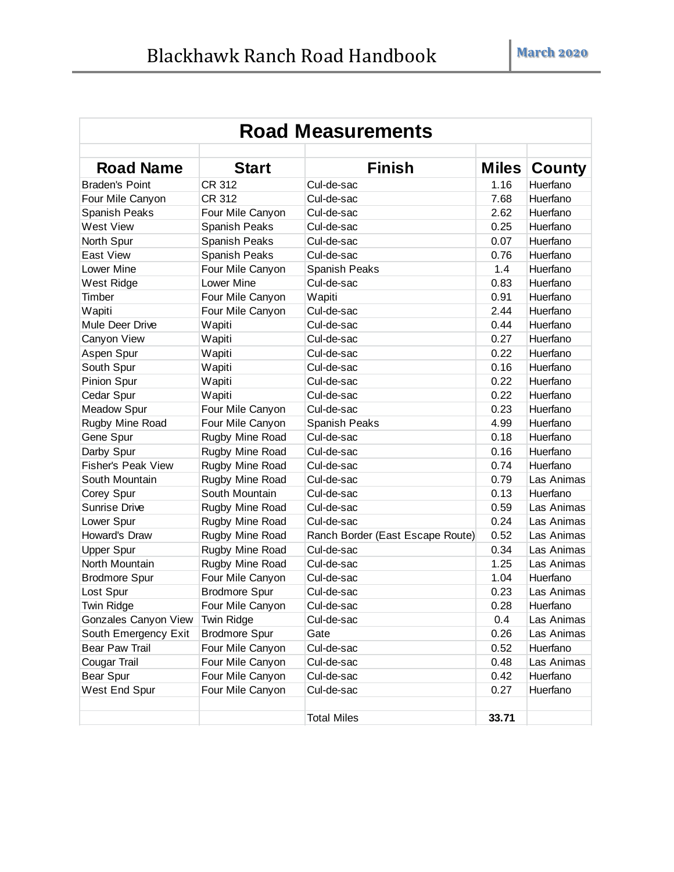| <b>Road Measurements</b>  |                      |                                  |              |               |  |  |
|---------------------------|----------------------|----------------------------------|--------------|---------------|--|--|
| <b>Road Name</b>          | <b>Start</b>         | <b>Finish</b>                    | <b>Miles</b> | <b>County</b> |  |  |
| <b>Braden's Point</b>     | CR 312               | Cul-de-sac                       | 1.16         | Huerfano      |  |  |
| Four Mile Canyon          | CR 312               | Cul-de-sac                       | 7.68         | Huerfano      |  |  |
| Spanish Peaks             | Four Mile Canyon     | Cul-de-sac                       | 2.62         | Huerfano      |  |  |
| <b>West View</b>          | Spanish Peaks        | Cul-de-sac                       | 0.25         | Huerfano      |  |  |
| North Spur                | Spanish Peaks        | Cul-de-sac                       | 0.07         | Huerfano      |  |  |
| East View                 | Spanish Peaks        | Cul-de-sac                       | 0.76         | Huerfano      |  |  |
| Lower Mine                | Four Mile Canyon     | Spanish Peaks                    | 1.4          | Huerfano      |  |  |
| West Ridge                | <b>Lower Mine</b>    | Cul-de-sac                       | 0.83         | Huerfano      |  |  |
| Timber                    | Four Mile Canyon     | Wapiti                           | 0.91         | Huerfano      |  |  |
| Wapiti                    | Four Mile Canyon     | Cul-de-sac                       | 2.44         | Huerfano      |  |  |
| Mule Deer Drive           | Wapiti               | Cul-de-sac                       | 0.44         | Huerfano      |  |  |
| Canyon View               | Wapiti               | Cul-de-sac                       | 0.27         | Huerfano      |  |  |
| Aspen Spur                | Wapiti               | Cul-de-sac                       | 0.22         | Huerfano      |  |  |
| South Spur                | Wapiti               | Cul-de-sac                       | 0.16         | Huerfano      |  |  |
| Pinion Spur               | Wapiti               | Cul-de-sac                       | 0.22         | Huerfano      |  |  |
| Cedar Spur                | Wapiti               | Cul-de-sac                       | 0.22         | Huerfano      |  |  |
| <b>Meadow Spur</b>        | Four Mile Canyon     | Cul-de-sac                       | 0.23         | Huerfano      |  |  |
| Rugby Mine Road           | Four Mile Canyon     | Spanish Peaks                    | 4.99         | Huerfano      |  |  |
| Gene Spur                 | Rugby Mine Road      | Cul-de-sac                       | 0.18         | Huerfano      |  |  |
| Darby Spur                | Rugby Mine Road      | Cul-de-sac                       | 0.16         | Huerfano      |  |  |
| <b>Fisher's Peak View</b> | Rugby Mine Road      | Cul-de-sac                       | 0.74         | Huerfano      |  |  |
| South Mountain            | Rugby Mine Road      | Cul-de-sac                       | 0.79         | Las Animas    |  |  |
| Corey Spur                | South Mountain       | Cul-de-sac                       | 0.13         | Huerfano      |  |  |
| Sunrise Drive             | Rugby Mine Road      | Cul-de-sac                       | 0.59         | Las Animas    |  |  |
| Lower Spur                | Rugby Mine Road      | Cul-de-sac                       | 0.24         | Las Animas    |  |  |
| Howard's Draw             | Rugby Mine Road      | Ranch Border (East Escape Route) | 0.52         | Las Animas    |  |  |
| <b>Upper Spur</b>         | Rugby Mine Road      | Cul-de-sac                       | 0.34         | Las Animas    |  |  |
| North Mountain            | Rugby Mine Road      | Cul-de-sac                       | 1.25         | Las Animas    |  |  |
| <b>Brodmore Spur</b>      | Four Mile Canyon     | Cul-de-sac                       | 1.04         | Huerfano      |  |  |
| Lost Spur                 | <b>Brodmore Spur</b> | Cul-de-sac                       | 0.23         | Las Animas    |  |  |
| Twin Ridge                | Four Mile Canyon     | Cul-de-sac                       | 0.28         | Huerfano      |  |  |
| Gonzales Canyon View      | Twin Ridge           | Cul-de-sac                       | 0.4          | Las Animas    |  |  |
| South Emergency Exit      | <b>Brodmore Spur</b> | Gate                             | 0.26         | Las Animas    |  |  |
| <b>Bear Paw Trail</b>     | Four Mile Canyon     | Cul-de-sac                       | 0.52         | Huerfano      |  |  |
| Cougar Trail              | Four Mile Canyon     | Cul-de-sac                       | 0.48         | Las Animas    |  |  |
| Bear Spur                 | Four Mile Canyon     | Cul-de-sac                       | 0.42         | Huerfano      |  |  |
| West End Spur             | Four Mile Canyon     | Cul-de-sac                       | 0.27         | Huerfano      |  |  |
|                           |                      | <b>Total Miles</b>               | 33.71        |               |  |  |